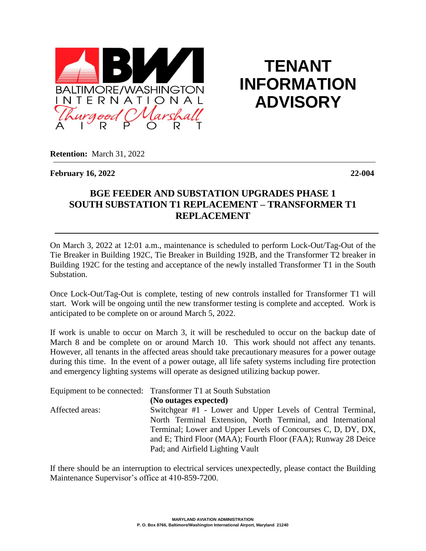

**TENANT INFORMATION ADVISORY**

**Retention:** March 31, 2022

**February 16, 2022 22-004**

## **BGE FEEDER AND SUBSTATION UPGRADES PHASE 1 SOUTH SUBSTATION T1 REPLACEMENT – TRANSFORMER T1 REPLACEMENT**

On March 3, 2022 at 12:01 a.m., maintenance is scheduled to perform Lock-Out/Tag-Out of the Tie Breaker in Building 192C, Tie Breaker in Building 192B, and the Transformer T2 breaker in Building 192C for the testing and acceptance of the newly installed Transformer T1 in the South Substation.

Once Lock-Out/Tag-Out is complete, testing of new controls installed for Transformer T1 will start. Work will be ongoing until the new transformer testing is complete and accepted. Work is anticipated to be complete on or around March 5, 2022.

If work is unable to occur on March 3, it will be rescheduled to occur on the backup date of March 8 and be complete on or around March 10. This work should not affect any tenants. However, all tenants in the affected areas should take precautionary measures for a power outage during this time. In the event of a power outage, all life safety systems including fire protection and emergency lighting systems will operate as designed utilizing backup power.

|                 | Equipment to be connected: Transformer T1 at South Substation |
|-----------------|---------------------------------------------------------------|
|                 | (No outages expected)                                         |
| Affected areas: | Switchgear #1 - Lower and Upper Levels of Central Terminal,   |
|                 | North Terminal Extension, North Terminal, and International   |
|                 | Terminal; Lower and Upper Levels of Concourses C, D, DY, DX,  |
|                 | and E; Third Floor (MAA); Fourth Floor (FAA); Runway 28 Deice |
|                 | Pad; and Airfield Lighting Vault                              |

If there should be an interruption to electrical services unexpectedly, please contact the Building Maintenance Supervisor's office at 410-859-7200.